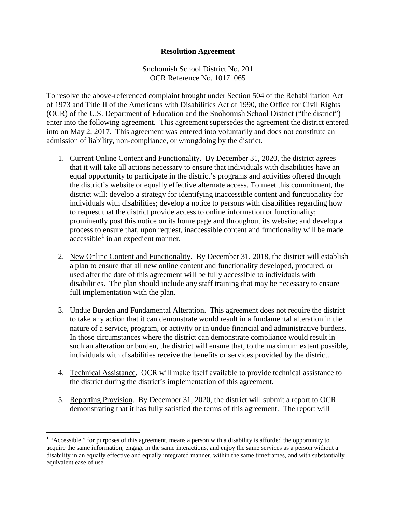## **Resolution Agreement**

Snohomish School District No. 201 OCR Reference No. 10171065

To resolve the above-referenced complaint brought under Section 504 of the Rehabilitation Act of 1973 and Title II of the Americans with Disabilities Act of 1990, the Office for Civil Rights (OCR) of the U.S. Department of Education and the Snohomish School District ("the district") enter into the following agreement. This agreement supersedes the agreement the district entered into on May 2, 2017. This agreement was entered into voluntarily and does not constitute an admission of liability, non-compliance, or wrongdoing by the district.

- 1. Current Online Content and Functionality. By December 31, 2020, the district agrees that it will take all actions necessary to ensure that individuals with disabilities have an equal opportunity to participate in the district's programs and activities offered through the district's website or equally effective alternate access. To meet this commitment, the district will: develop a strategy for identifying inaccessible content and functionality for individuals with disabilities; develop a notice to persons with disabilities regarding how to request that the district provide access to online information or functionality; prominently post this notice on its home page and throughout its website; and develop a process to ensure that, upon request, inaccessible content and functionality will be made  $accessible<sup>1</sup>$  $accessible<sup>1</sup>$  $accessible<sup>1</sup>$  in an expedient manner.
- 2. New Online Content and Functionality. By December 31, 2018, the district will establish a plan to ensure that all new online content and functionality developed, procured, or used after the date of this agreement will be fully accessible to individuals with disabilities. The plan should include any staff training that may be necessary to ensure full implementation with the plan.
- 3. Undue Burden and Fundamental Alteration. This agreement does not require the district to take any action that it can demonstrate would result in a fundamental alteration in the nature of a service, program, or activity or in undue financial and administrative burdens. In those circumstances where the district can demonstrate compliance would result in such an alteration or burden, the district will ensure that, to the maximum extent possible, individuals with disabilities receive the benefits or services provided by the district.
- 4. Technical Assistance. OCR will make itself available to provide technical assistance to the district during the district's implementation of this agreement.
- 5. Reporting Provision. By December 31, 2020, the district will submit a report to OCR demonstrating that it has fully satisfied the terms of this agreement. The report will

<span id="page-0-0"></span><sup>&</sup>lt;sup>1</sup> "Accessible," for purposes of this agreement, means a person with a disability is afforded the opportunity to acquire the same information, engage in the same interactions, and enjoy the same services as a person without a disability in an equally effective and equally integrated manner, within the same timeframes, and with substantially equivalent ease of use.